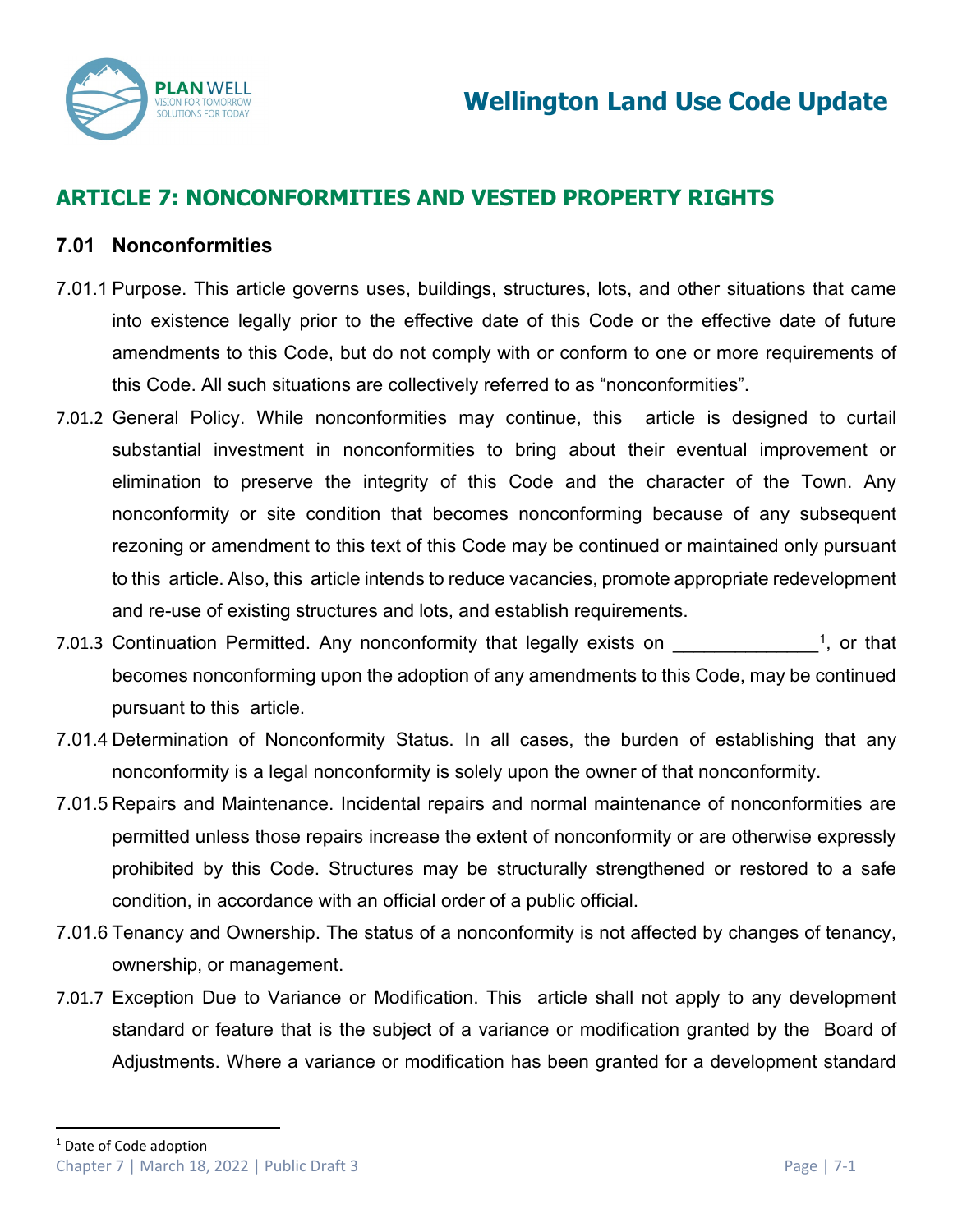

# **ARTICLE 7: NONCONFORMITIES AND VESTED PROPERTY RIGHTS**

# **7.01 Nonconformities**

- 7.01.1 Purpose. This article governs uses, buildings, structures, lots, and other situations that came into existence legally prior to the effective date of this Code or the effective date of future amendments to this Code, but do not comply with or conform to one or more requirements of this Code. All such situations are collectively referred to as "nonconformities".
- 7.01.2 General Policy. While nonconformities may continue, this article is designed to curtail substantial investment in nonconformities to bring about their eventual improvement or elimination to preserve the integrity of this Code and the character of the Town. Any nonconformity or site condition that becomes nonconforming because of any subsequent rezoning or amendment to this text of this Code may be continued or maintained only pursuant to this article. Also, this article intends to reduce vacancies, promote appropriate redevelopment and re-use of existing structures and lots, and establish requirements.
- 7.01.3 Continuation Permitted. Any nonconformity that legally exists on  $1$ , or that becomes nonconforming upon the adoption of any amendments to this Code, may be continued pursuant to this article.
- 7.01.4 Determination of Nonconformity Status. In all cases, the burden of establishing that any nonconformity is a legal nonconformity is solely upon the owner of that nonconformity.
- 7.01.5 Repairs and Maintenance. Incidental repairs and normal maintenance of nonconformities are permitted unless those repairs increase the extent of nonconformity or are otherwise expressly prohibited by this Code. Structures may be structurally strengthened or restored to a safe condition, in accordance with an official order of a public official.
- 7.01.6 Tenancy and Ownership. The status of a nonconformity is not affected by changes of tenancy, ownership, or management.
- <span id="page-0-0"></span>7.01.7 Exception Due to Variance or Modification. This article shall not apply to any development standard or feature that is the subject of a variance or modification granted by the Board of Adjustments. Where a variance or modification has been granted for a development standard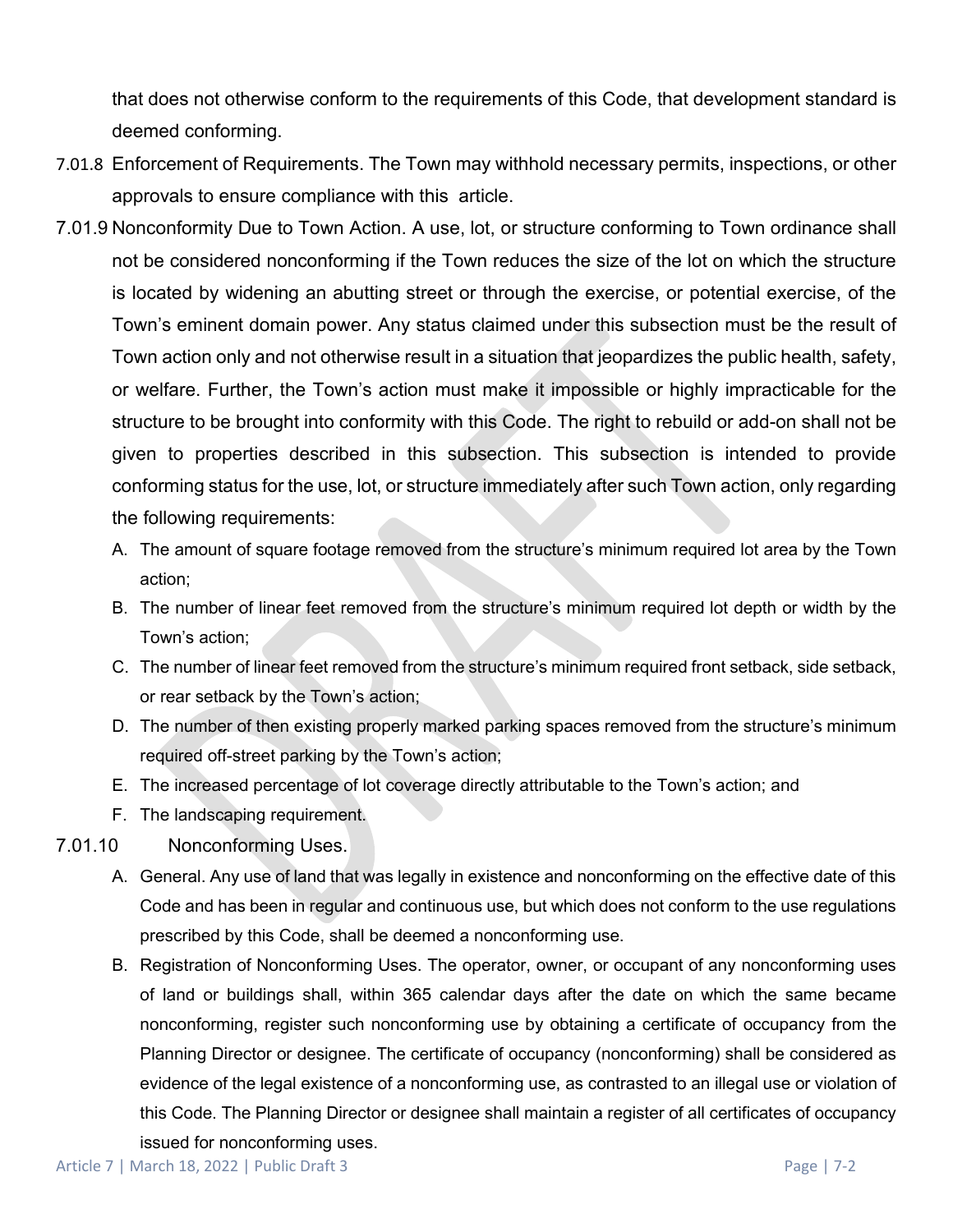that does not otherwise conform to the requirements of this Code, that development standard is deemed conforming.

- 7.01.8 Enforcement of Requirements. The Town may withhold necessary permits, inspections, or other approvals to ensure compliance with this article.
- 7.01.9 Nonconformity Due to Town Action. A use, lot, or structure conforming to Town ordinance shall not be considered nonconforming if the Town reduces the size of the lot on which the structure is located by widening an abutting street or through the exercise, or potential exercise, of the Town's eminent domain power. Any status claimed under this subsection must be the result of Town action only and not otherwise result in a situation that jeopardizes the public health, safety, or welfare. Further, the Town's action must make it impossible or highly impracticable for the structure to be brought into conformity with this Code. The right to rebuild or add-on shall not be given to properties described in this subsection. This subsection is intended to provide conforming status for the use, lot, or structure immediately after such Town action, only regarding the following requirements:
	- A. The amount of square footage removed from the structure's minimum required lot area by the Town action;
	- B. The number of linear feet removed from the structure's minimum required lot depth or width by the Town's action;
	- C. The number of linear feet removed from the structure's minimum required front setback, side setback, or rear setback by the Town's action;
	- D. The number of then existing properly marked parking spaces removed from the structure's minimum required off-street parking by the Town's action;
	- E. The increased percentage of lot coverage directly attributable to the Town's action; and
	- F. The landscaping requirement.
- 7.01.10 Nonconforming Uses.
	- A. General. Any use of land that was legally in existence and nonconforming on the effective date of this Code and has been in regular and continuous use, but which does not conform to the use regulations prescribed by this Code, shall be deemed a nonconforming use.
	- B. Registration of Nonconforming Uses. The operator, owner, or occupant of any nonconforming uses of land or buildings shall, within 365 calendar days after the date on which the same became nonconforming, register such nonconforming use by obtaining a certificate of occupancy from the Planning Director or designee. The certificate of occupancy (nonconforming) shall be considered as evidence of the legal existence of a nonconforming use, as contrasted to an illegal use or violation of this Code. The Planning Director or designee shall maintain a register of all certificates of occupancy issued for nonconforming uses.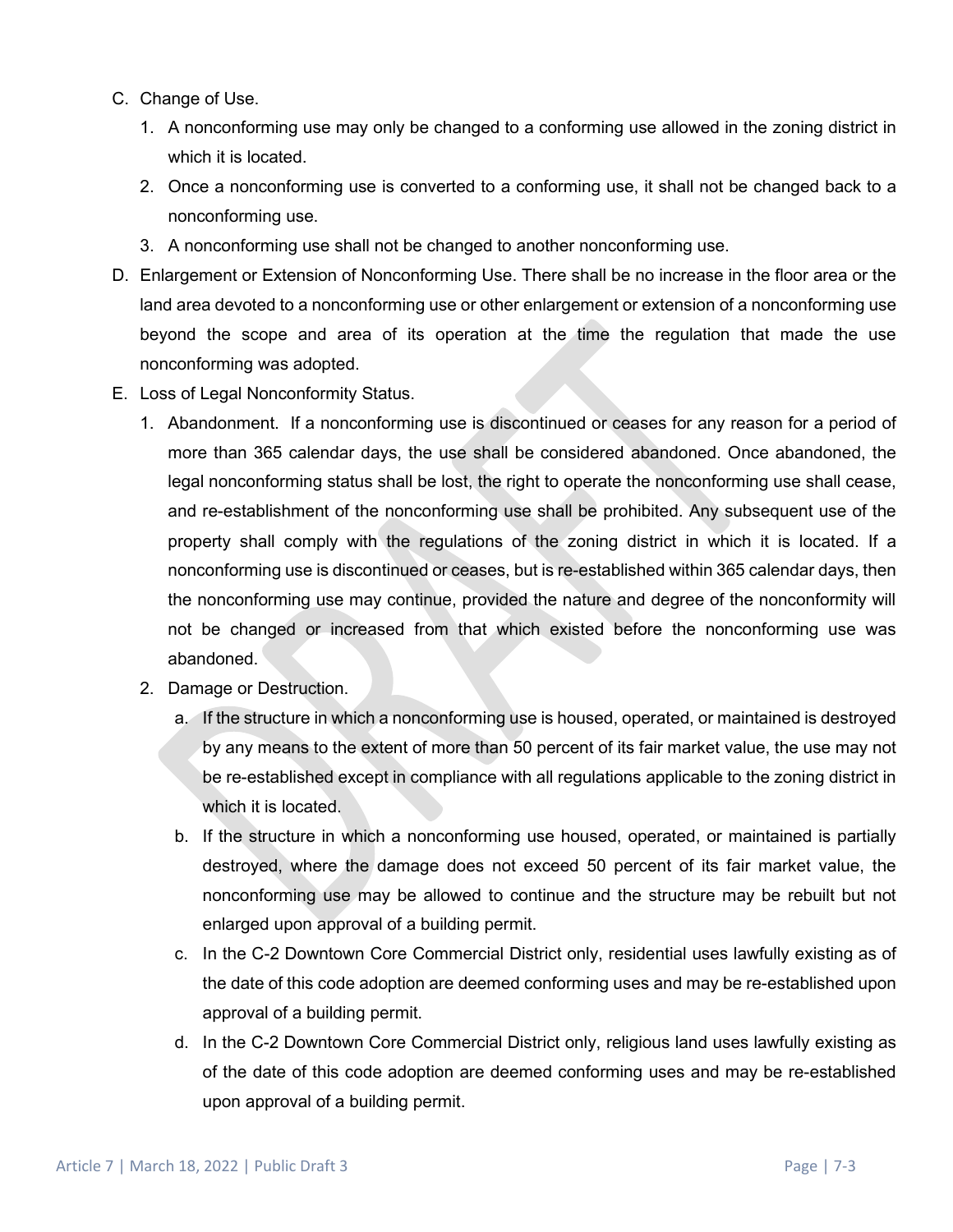- C. Change of Use.
	- 1. A nonconforming use may only be changed to a conforming use allowed in the zoning district in which it is located.
	- 2. Once a nonconforming use is converted to a conforming use, it shall not be changed back to a nonconforming use.
	- 3. A nonconforming use shall not be changed to another nonconforming use.
- D. Enlargement or Extension of Nonconforming Use. There shall be no increase in the floor area or the land area devoted to a nonconforming use or other enlargement or extension of a nonconforming use beyond the scope and area of its operation at the time the regulation that made the use nonconforming was adopted.
- E. Loss of Legal Nonconformity Status.
	- 1. Abandonment. If a nonconforming use is discontinued or ceases for any reason for a period of more than 365 calendar days, the use shall be considered abandoned. Once abandoned, the legal nonconforming status shall be lost, the right to operate the nonconforming use shall cease, and re-establishment of the nonconforming use shall be prohibited. Any subsequent use of the property shall comply with the regulations of the zoning district in which it is located. If a nonconforming use is discontinued or ceases, but is re-established within 365 calendar days, then the nonconforming use may continue, provided the nature and degree of the nonconformity will not be changed or increased from that which existed before the nonconforming use was abandoned.
	- 2. Damage or Destruction.
		- a. If the structure in which a nonconforming use is housed, operated, or maintained is destroyed by any means to the extent of more than 50 percent of its fair market value, the use may not be re-established except in compliance with all regulations applicable to the zoning district in which it is located.
		- b. If the structure in which a nonconforming use housed, operated, or maintained is partially destroyed, where the damage does not exceed 50 percent of its fair market value, the nonconforming use may be allowed to continue and the structure may be rebuilt but not enlarged upon approval of a building permit.
		- c. In the C-2 Downtown Core Commercial District only, residential uses lawfully existing as of the date of this code adoption are deemed conforming uses and may be re-established upon approval of a building permit.
		- d. In the C-2 Downtown Core Commercial District only, religious land uses lawfully existing as of the date of this code adoption are deemed conforming uses and may be re-established upon approval of a building permit.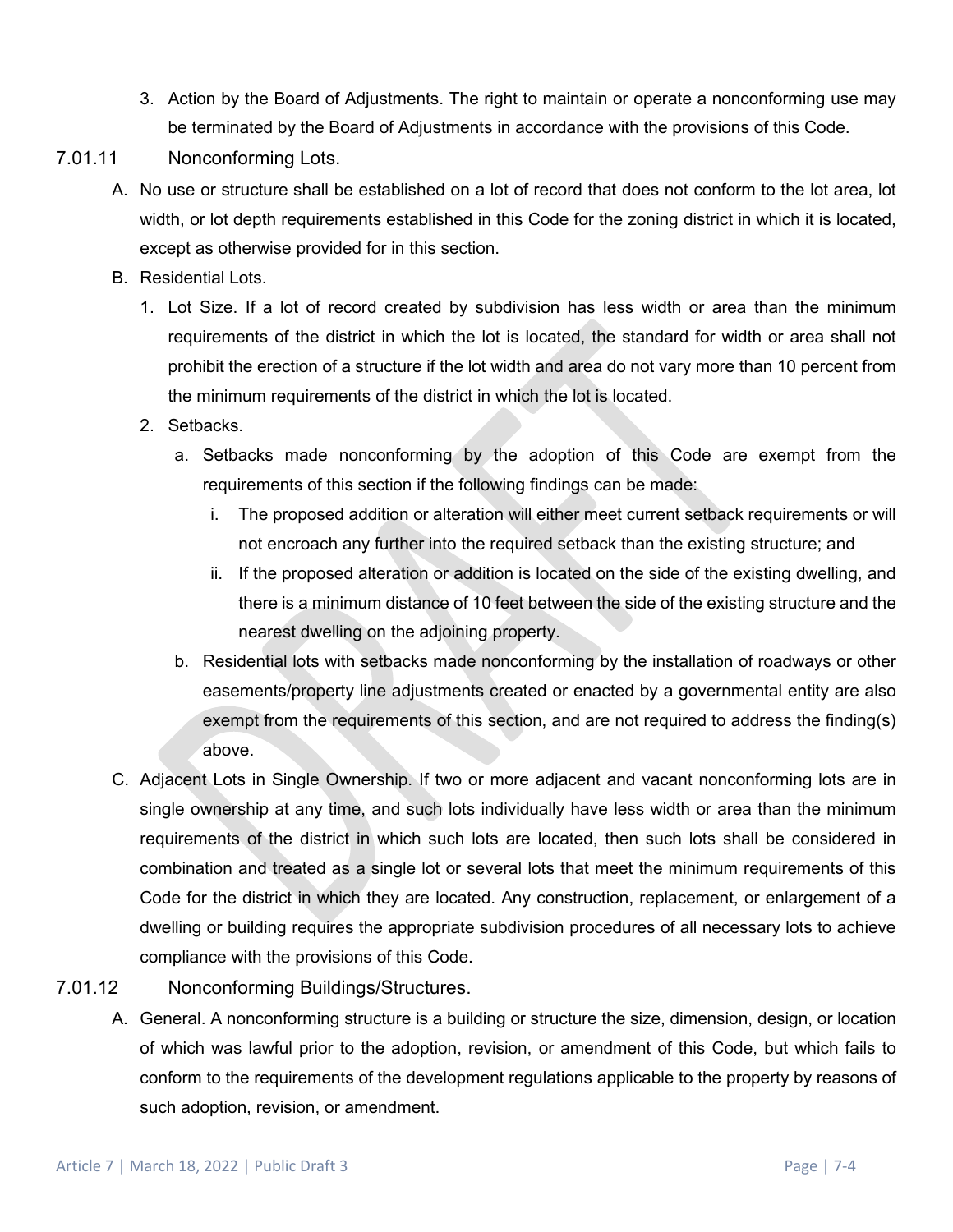3. Action by the Board of Adjustments. The right to maintain or operate a nonconforming use may be terminated by the Board of Adjustments in accordance with the provisions of this Code.

# 7.01.11 Nonconforming Lots.

- A. No use or structure shall be established on a lot of record that does not conform to the lot area, lot width, or lot depth requirements established in this Code for the zoning district in which it is located, except as otherwise provided for in this section.
- B. Residential Lots.
	- 1. Lot Size. If a lot of record created by subdivision has less width or area than the minimum requirements of the district in which the lot is located, the standard for width or area shall not prohibit the erection of a structure if the lot width and area do not vary more than 10 percent from the minimum requirements of the district in which the lot is located.
	- 2. Setbacks.
		- a. Setbacks made nonconforming by the adoption of this Code are exempt from the requirements of this section if the following findings can be made:
			- i. The proposed addition or alteration will either meet current setback requirements or will not encroach any further into the required setback than the existing structure; and
			- ii. If the proposed alteration or addition is located on the side of the existing dwelling, and there is a minimum distance of 10 feet between the side of the existing structure and the nearest dwelling on the adjoining property.
		- b. Residential lots with setbacks made nonconforming by the installation of roadways or other easements/property line adjustments created or enacted by a governmental entity are also exempt from the requirements of this section, and are not required to address the finding(s) above.
- C. Adjacent Lots in Single Ownership. If two or more adjacent and vacant nonconforming lots are in single ownership at any time, and such lots individually have less width or area than the minimum requirements of the district in which such lots are located, then such lots shall be considered in combination and treated as a single lot or several lots that meet the minimum requirements of this Code for the district in which they are located. Any construction, replacement, or enlargement of a dwelling or building requires the appropriate subdivision procedures of all necessary lots to achieve compliance with the provisions of this Code.

# 7.01.12 Nonconforming Buildings/Structures.

A. General. A nonconforming structure is a building or structure the size, dimension, design, or location of which was lawful prior to the adoption, revision, or amendment of this Code, but which fails to conform to the requirements of the development regulations applicable to the property by reasons of such adoption, revision, or amendment.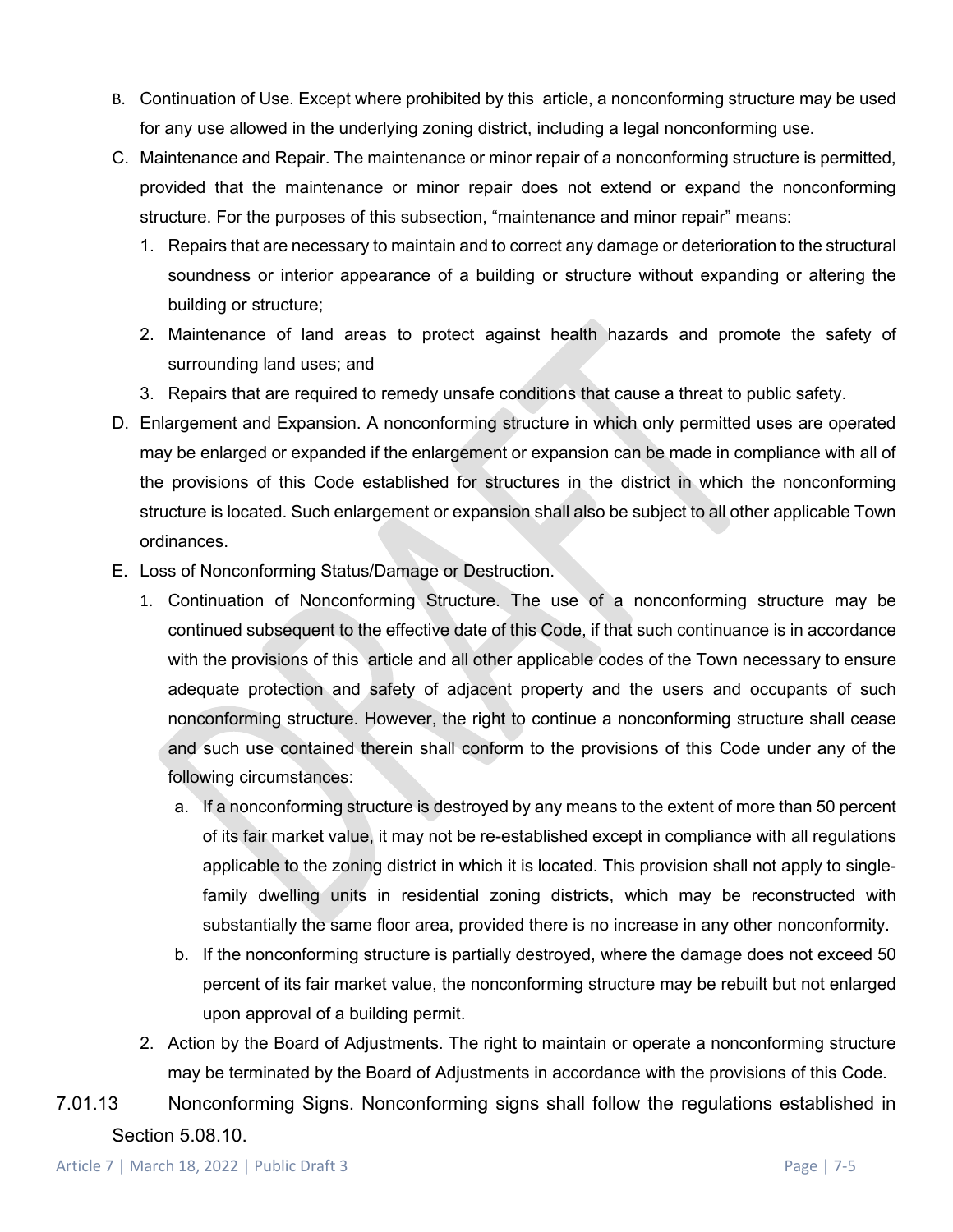- B. Continuation of Use. Except where prohibited by this article, a nonconforming structure may be used for any use allowed in the underlying zoning district, including a legal nonconforming use.
- C. Maintenance and Repair. The maintenance or minor repair of a nonconforming structure is permitted, provided that the maintenance or minor repair does not extend or expand the nonconforming structure. For the purposes of this subsection, "maintenance and minor repair" means:
	- 1. Repairs that are necessary to maintain and to correct any damage or deterioration to the structural soundness or interior appearance of a building or structure without expanding or altering the building or structure;
	- 2. Maintenance of land areas to protect against health hazards and promote the safety of surrounding land uses; and
	- 3. Repairs that are required to remedy unsafe conditions that cause a threat to public safety.
- D. Enlargement and Expansion. A nonconforming structure in which only permitted uses are operated may be enlarged or expanded if the enlargement or expansion can be made in compliance with all of the provisions of this Code established for structures in the district in which the nonconforming structure is located. Such enlargement or expansion shall also be subject to all other applicable Town ordinances.
- E. Loss of Nonconforming Status/Damage or Destruction.
	- 1. Continuation of Nonconforming Structure. The use of a nonconforming structure may be continued subsequent to the effective date of this Code, if that such continuance is in accordance with the provisions of this article and all other applicable codes of the Town necessary to ensure adequate protection and safety of adjacent property and the users and occupants of such nonconforming structure. However, the right to continue a nonconforming structure shall cease and such use contained therein shall conform to the provisions of this Code under any of the following circumstances:
		- a. If a nonconforming structure is destroyed by any means to the extent of more than 50 percent of its fair market value, it may not be re-established except in compliance with all regulations applicable to the zoning district in which it is located. This provision shall not apply to singlefamily dwelling units in residential zoning districts, which may be reconstructed with substantially the same floor area, provided there is no increase in any other nonconformity.
		- b. If the nonconforming structure is partially destroyed, where the damage does not exceed 50 percent of its fair market value, the nonconforming structure may be rebuilt but not enlarged upon approval of a building permit.
	- 2. Action by the Board of Adjustments. The right to maintain or operate a nonconforming structure may be terminated by the Board of Adjustments in accordance with the provisions of this Code.
- 7.01.13 Nonconforming Signs. Nonconforming signs shall follow the regulations established in Section 5.08.10.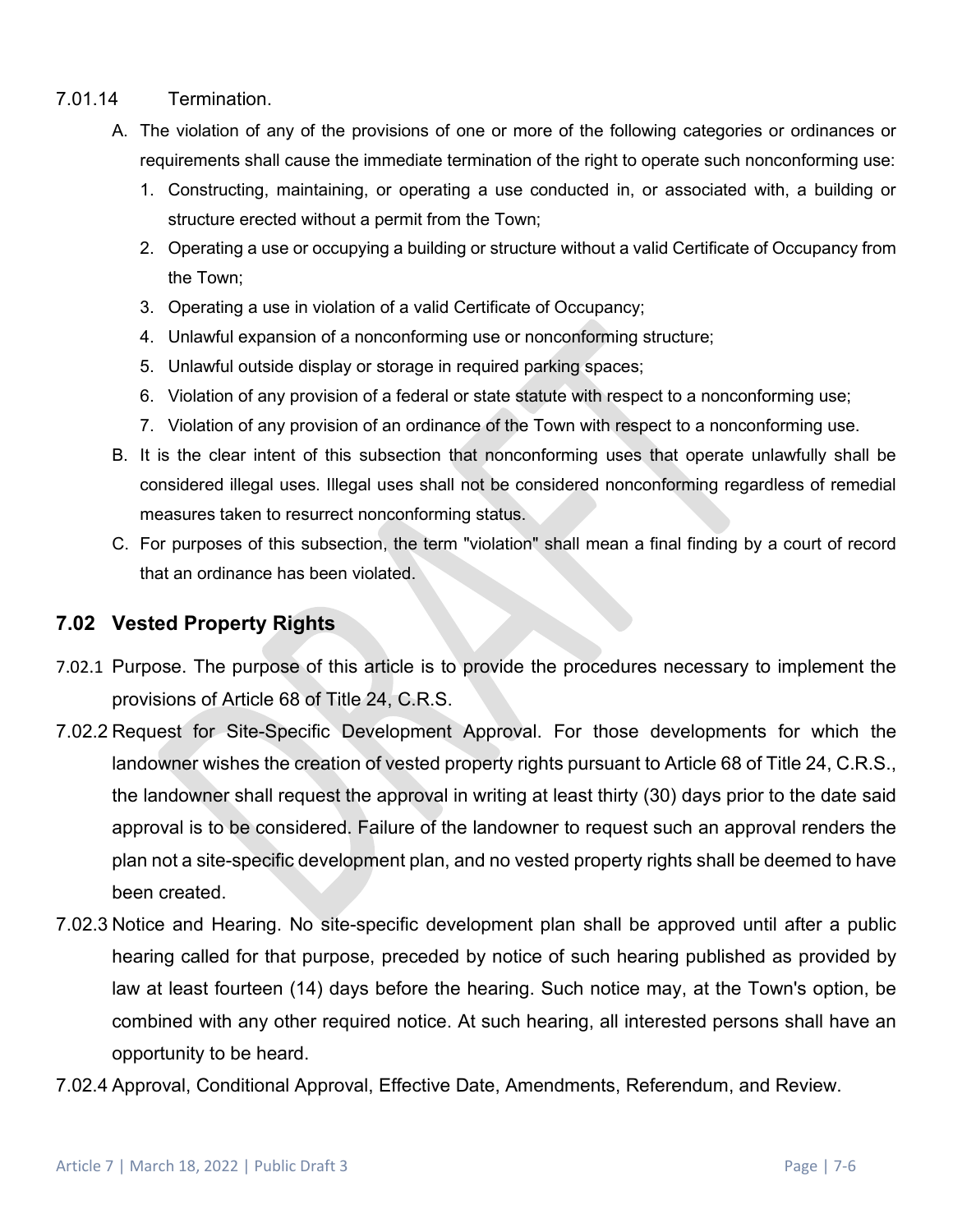# 7.01.14 Termination.

- A. The violation of any of the provisions of one or more of the following categories or ordinances or requirements shall cause the immediate termination of the right to operate such nonconforming use:
	- 1. Constructing, maintaining, or operating a use conducted in, or associated with, a building or structure erected without a permit from the Town;
	- 2. Operating a use or occupying a building or structure without a valid Certificate of Occupancy from the Town;
	- 3. Operating a use in violation of a valid Certificate of Occupancy;
	- 4. Unlawful expansion of a nonconforming use or nonconforming structure;
	- 5. Unlawful outside display or storage in required parking spaces;
	- 6. Violation of any provision of a federal or state statute with respect to a nonconforming use;
	- 7. Violation of any provision of an ordinance of the Town with respect to a nonconforming use.
- B. It is the clear intent of this subsection that nonconforming uses that operate unlawfully shall be considered illegal uses. Illegal uses shall not be considered nonconforming regardless of remedial measures taken to resurrect nonconforming status.
- C. For purposes of this subsection, the term "violation" shall mean a final finding by a court of record that an ordinance has been violated.

# **7.02 Vested Property Rights**

- 7.02.1 Purpose. The purpose of this article is to provide the procedures necessary to implement the provisions of Article 68 of Title 24, C.R.S.
- 7.02.2 Request for Site-Specific Development Approval. For those developments for which the landowner wishes the creation of vested property rights pursuant to Article 68 of Title 24, C.R.S., the landowner shall request the approval in writing at least thirty (30) days prior to the date said approval is to be considered. Failure of the landowner to request such an approval renders the plan not a site-specific development plan, and no vested property rights shall be deemed to have been created.
- 7.02.3 Notice and Hearing. No site-specific development plan shall be approved until after a public hearing called for that purpose, preceded by notice of such hearing published as provided by law at least fourteen (14) days before the hearing. Such notice may, at the Town's option, be combined with any other required notice. At such hearing, all interested persons shall have an opportunity to be heard.
- 7.02.4 Approval, Conditional Approval, Effective Date, Amendments, Referendum, and Review.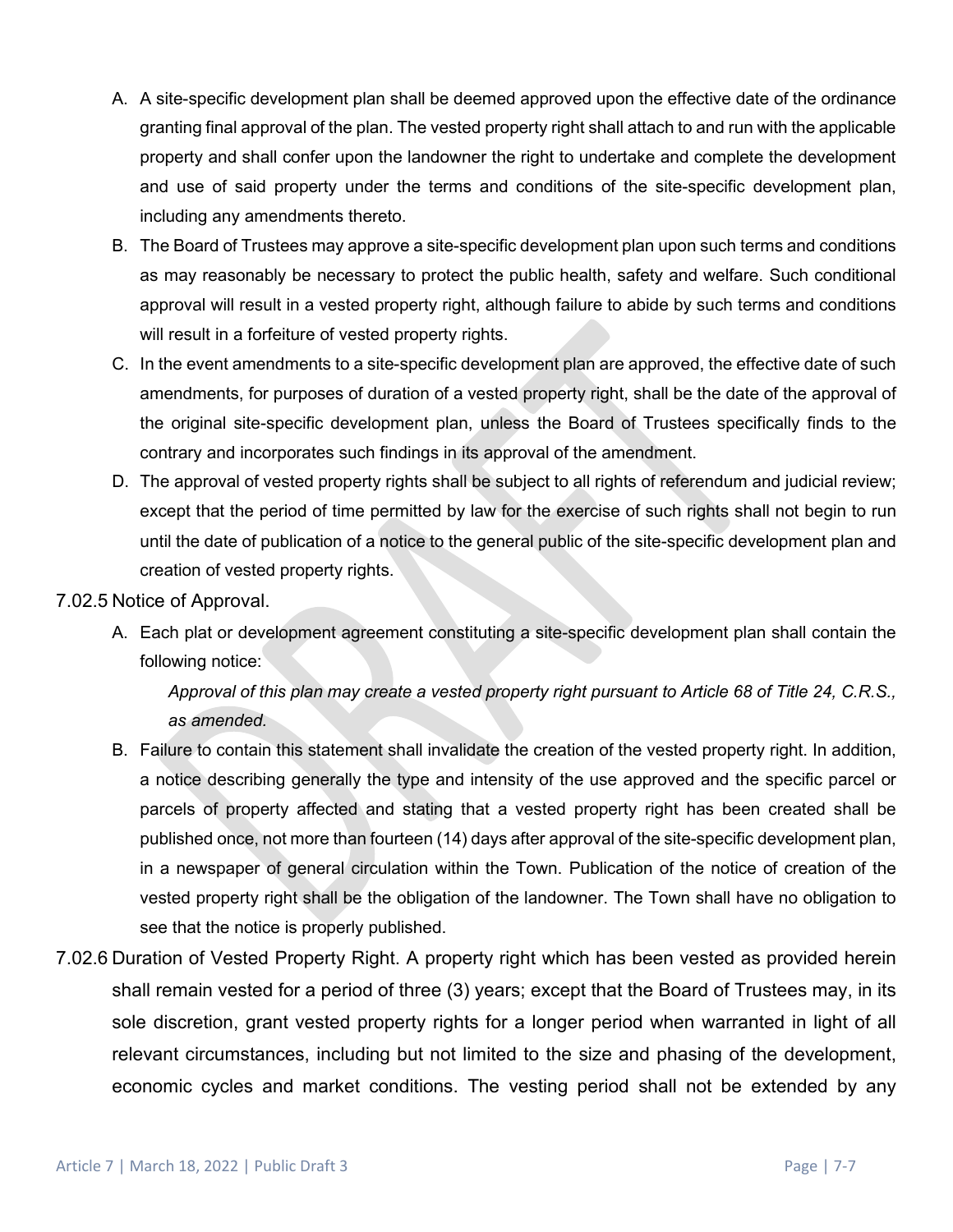- A. A site-specific development plan shall be deemed approved upon the effective date of the ordinance granting final approval of the plan. The vested property right shall attach to and run with the applicable property and shall confer upon the landowner the right to undertake and complete the development and use of said property under the terms and conditions of the site-specific development plan, including any amendments thereto.
- B. The Board of Trustees may approve a site-specific development plan upon such terms and conditions as may reasonably be necessary to protect the public health, safety and welfare. Such conditional approval will result in a vested property right, although failure to abide by such terms and conditions will result in a forfeiture of vested property rights.
- C. In the event amendments to a site-specific development plan are approved, the effective date of such amendments, for purposes of duration of a vested property right, shall be the date of the approval of the original site-specific development plan, unless the Board of Trustees specifically finds to the contrary and incorporates such findings in its approval of the amendment.
- D. The approval of vested property rights shall be subject to all rights of referendum and judicial review; except that the period of time permitted by law for the exercise of such rights shall not begin to run until the date of publication of a notice to the general public of the site-specific development plan and creation of vested property rights.

#### 7.02.5 Notice of Approval.

A. Each plat or development agreement constituting a site-specific development plan shall contain the following notice:

*Approval of this plan may create a vested property right pursuant to Article 68 of Title 24, C.R.S., as amended.*

- B. Failure to contain this statement shall invalidate the creation of the vested property right. In addition, a notice describing generally the type and intensity of the use approved and the specific parcel or parcels of property affected and stating that a vested property right has been created shall be published once, not more than fourteen (14) days after approval of the site-specific development plan, in a newspaper of general circulation within the Town. Publication of the notice of creation of the vested property right shall be the obligation of the landowner. The Town shall have no obligation to see that the notice is properly published.
- 7.02.6 Duration of Vested Property Right. A property right which has been vested as provided herein shall remain vested for a period of three (3) years; except that the Board of Trustees may, in its sole discretion, grant vested property rights for a longer period when warranted in light of all relevant circumstances, including but not limited to the size and phasing of the development, economic cycles and market conditions. The vesting period shall not be extended by any